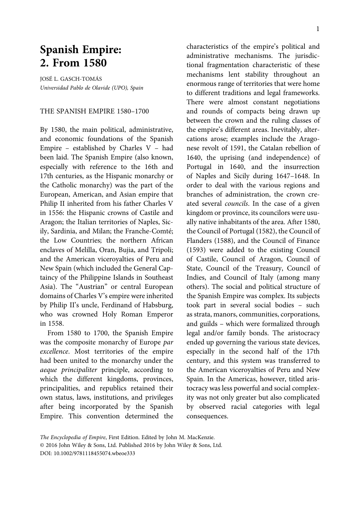# **Spanish Empire: 2. From 1580**

JOSÉ L. GASCH-TOMÁS Universidad Pablo de Olavide (UPO), Spain

#### THE SPANISH EMPIRE 1580–1700

By 1580, the main political, administrative, and economic foundations of the Spanish Empire – established by Charles V – had been laid. The Spanish Empire (also known, especially with reference to the 16th and 17th centuries, as the Hispanic monarchy or the Catholic monarchy) was the part of the European, American, and Asian empire that Philip II inherited from his father Charles V in 1556: the Hispanic crowns of Castile and Aragon; the Italian territories of Naples, Sicily, Sardinia, and Milan; the Franche-Comté; the Low Countries; the northern African enclaves of Melilla, Oran, Bujia, and Tripoli; and the American viceroyalties of Peru and New Spain (which included the General Captaincy of the Philippine Islands in Southeast Asia). The "Austrian" or central European domains of Charles V's empire were inherited by Philip II's uncle, Ferdinand of Habsburg, who was crowned Holy Roman Emperor in 1558.

From 1580 to 1700, the Spanish Empire was the composite monarchy of Europe par excellence. Most territories of the empire had been united to the monarchy under the aeque principaliter principle, according to which the different kingdoms, provinces, principalities, and republics retained their own status, laws, institutions, and privileges after being incorporated by the Spanish Empire. This convention determined the characteristics of the empire's political and administrative mechanisms. The jurisdictional fragmentation characteristic of these mechanisms lent stability throughout an enormous range of territories that were home to different traditions and legal frameworks. There were almost constant negotiations and rounds of compacts being drawn up between the crown and the ruling classes of the empire's different areas. Inevitably, altercations arose; examples include the Aragonese revolt of 1591, the Catalan rebellion of 1640, the uprising (and independence) of Portugal in 1640, and the insurrection of Naples and Sicily during 1647–1648. In order to deal with the various regions and branches of administration, the crown created several councils. In the case of a given kingdom or province, its councilors were usually native inhabitants of the area. After 1580, the Council of Portugal (1582), the Council of Flanders (1588), and the Council of Finance (1593) were added to the existing Council of Castile, Council of Aragon, Council of State, Council of the Treasury, Council of Indies, and Council of Italy (among many others). The social and political structure of the Spanish Empire was complex. Its subjects took part in several social bodies – such as strata, manors, communities, corporations, and guilds – which were formalized through legal and/or family bonds. The aristocracy ended up governing the various state devices, especially in the second half of the 17th century, and this system was transferred to the American viceroyalties of Peru and New Spain. In the Americas, however, titled aristocracy was less powerful and social complexity was not only greater but also complicated by observed racial categories with legal consequences.

The Encyclopedia of Empire, First Edition. Edited by John M. MacKenzie. © 2016 John Wiley & Sons, Ltd. Published 2016 by John Wiley & Sons, Ltd. DOI: 10.1002/9781118455074.wbeoe333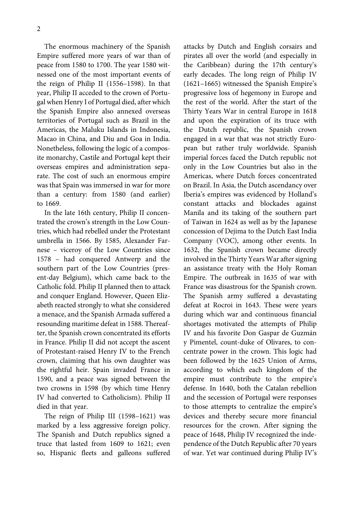The enormous machinery of the Spanish Empire suffered more years of war than of peace from 1580 to 1700. The year 1580 witnessed one of the most important events of the reign of Philip II (1556–1598). In that year, Philip II acceded to the crown of Portugal when Henry I of Portugal died, after which the Spanish Empire also annexed overseas territories of Portugal such as Brazil in the Americas, the Maluku Islands in Indonesia, Macao in China, and Diu and Goa in India. Nonetheless, following the logic of a composite monarchy, Castile and Portugal kept their overseas empires and administration separate. The cost of such an enormous empire was that Spain was immersed in war for more than a century: from 1580 (and earlier) to 1669.

In the late 16th century, Philip II concentrated the crown's strength in the Low Countries, which had rebelled under the Protestant umbrella in 1566. By 1585, Alexander Farnese – viceroy of the Low Countries since 1578 – had conquered Antwerp and the southern part of the Low Countries (present-day Belgium), which came back to the Catholic fold. Philip II planned then to attack and conquer England. However, Queen Elizabeth reacted strongly to what she considered a menace, and the Spanish Armada suffered a resounding maritime defeat in 1588. Thereafter, the Spanish crown concentrated its efforts in France. Philip II did not accept the ascent of Protestant-raised Henry IV to the French crown, claiming that his own daughter was the rightful heir. Spain invaded France in 1590, and a peace was signed between the two crowns in 1598 (by which time Henry IV had converted to Catholicism). Philip II died in that year.

The reign of Philip III (1598–1621) was marked by a less aggressive foreign policy. The Spanish and Dutch republics signed a truce that lasted from 1609 to 1621; even so, Hispanic fleets and galleons suffered attacks by Dutch and English corsairs and pirates all over the world (and especially in the Caribbean) during the 17th century's early decades. The long reign of Philip IV (1621–1665) witnessed the Spanish Empire's progressive loss of hegemony in Europe and the rest of the world. After the start of the Thirty Years War in central Europe in 1618 and upon the expiration of its truce with the Dutch republic, the Spanish crown engaged in a war that was not strictly European but rather truly worldwide. Spanish imperial forces faced the Dutch republic not only in the Low Countries but also in the Americas, where Dutch forces concentrated on Brazil. In Asia, the Dutch ascendancy over Iberia's empires was evidenced by Holland's constant attacks and blockades against Manila and its taking of the southern part of Taiwan in 1624 as well as by the Japanese concession of Dejima to the Dutch East India Company (VOC), among other events. In 1632, the Spanish crown became directly involved in the Thirty Years War after signing an assistance treaty with the Holy Roman Empire. The outbreak in 1635 of war with France was disastrous for the Spanish crown. The Spanish army suffered a devastating defeat at Rocroi in 1643. These were years during which war and continuous financial shortages motivated the attempts of Philip IV and his favorite Don Gaspar de Guzmán y Pimentel, count-duke of Olivares, to concentrate power in the crown. This logic had been followed by the 1625 Union of Arms, according to which each kingdom of the empire must contribute to the empire's defense. In 1640, both the Catalan rebellion and the secession of Portugal were responses to those attempts to centralize the empire's devices and thereby secure more financial resources for the crown. After signing the peace of 1648, Philip IV recognized the independence of the Dutch Republic after 70 years of war. Yet war continued during Philip IV's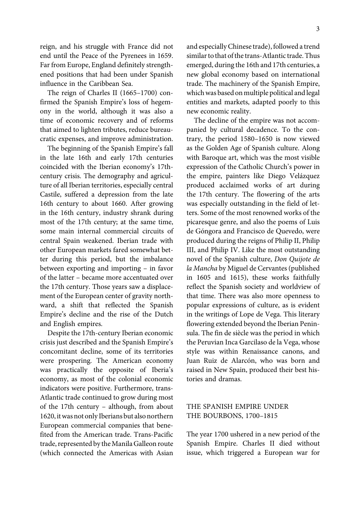reign, and his struggle with France did not end until the Peace of the Pyrenees in 1659. Far from Europe, England definitely strengthened positions that had been under Spanish influence in the Caribbean Sea.

The reign of Charles II (1665–1700) confirmed the Spanish Empire's loss of hegemony in the world, although it was also a time of economic recovery and of reforms that aimed to lighten tributes, reduce bureaucratic expenses, and improve administration.

The beginning of the Spanish Empire's fall in the late 16th and early 17th centuries coincided with the Iberian economy's 17thcentury crisis. The demography and agriculture of all Iberian territories, especially central Castile, suffered a depression from the late 16th century to about 1660. After growing in the 16th century, industry shrank during most of the 17th century; at the same time, some main internal commercial circuits of central Spain weakened. Iberian trade with other European markets fared somewhat better during this period, but the imbalance between exporting and importing – in favor of the latter – became more accentuated over the 17th century. Those years saw a displacement of the European center of gravity northward, a shift that reflected the Spanish Empire's decline and the rise of the Dutch and English empires.

Despite the 17th-century Iberian economic crisis just described and the Spanish Empire's concomitant decline, some of its territories were prospering. The American economy was practically the opposite of Iberia's economy, as most of the colonial economic indicators were positive. Furthermore, trans-Atlantic trade continued to grow during most of the 17th century – although, from about 1620, itwas not only Iberians but also northern European commercial companies that benefited from the American trade. Trans-Pacific trade, represented by the Manila Galleon route (which connected the Americas with Asian and especially Chinese trade), followed a trend similar to that of the trans-Atlantic trade. Thus emerged, during the 16th and 17th centuries, a new global economy based on international trade. The machinery of the Spanish Empire, which was based on multiple political and legal entities and markets, adapted poorly to this new economic reality.

The decline of the empire was not accompanied by cultural decadence. To the contrary, the period 1580–1650 is now viewed as the Golden Age of Spanish culture. Along with Baroque art, which was the most visible expression of the Catholic Church's power in the empire, painters like Diego Velázquez produced acclaimed works of art during the 17th century. The flowering of the arts was especially outstanding in the field of letters. Some of the most renowned works of the picaresque genre, and also the poems of Luis de Góngora and Francisco de Quevedo, were produced during the reigns of Philip II, Philip III, and Philip IV. Like the most outstanding novel of the Spanish culture, Don Quijote de la Mancha by Miguel de Cervantes (published in 1605 and 1615), these works faithfully reflect the Spanish society and worldview of that time. There was also more openness to popular expressions of culture, as is evident in the writings of Lope de Vega. This literary flowering extended beyond the Iberian Peninsula. The fin de siècle was the period in which the Peruvian Inca Garcilaso de la Vega, whose style was within Renaissance canons, and Juan Ruiz de Alarcón, who was born and raised in New Spain, produced their best histories and dramas.

## THE SPANISH EMPIRE UNDER THE BOURBONS, 1700–1815

The year 1700 ushered in a new period of the Spanish Empire. Charles II died without issue, which triggered a European war for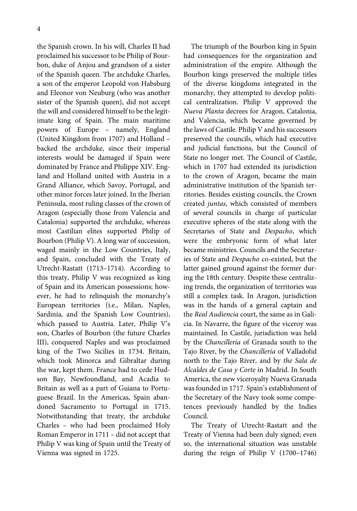the Spanish crown. In his will, Charles II had proclaimed his successor to be Philip of Bourbon, duke of Anjou and grandson of a sister of the Spanish queen. The archduke Charles, a son of the emperor Leopold von Habsburg and Eleonor von Neuburg (who was another sister of the Spanish queen), did not accept the will and considered himself to be the legitimate king of Spain. The main maritime powers of Europe – namely, England (United Kingdom from 1707) and Holland – backed the archduke, since their imperial interests would be damaged if Spain were dominated by France and Philippe XIV. England and Holland united with Austria in a Grand Alliance, which Savoy, Portugal, and other minor forces later joined. In the Iberian Peninsula, most ruling classes of the crown of Aragon (especially those from Valencia and Catalonia) supported the archduke, whereas most Castilian elites supported Philip of Bourbon (Philip V). A long war of succession, waged mainly in the Low Countries, Italy, and Spain, concluded with the Treaty of Utrecht-Rastatt (1713–1714). According to this treaty, Philip V was recognized as king of Spain and its American possessions; however, he had to relinquish the monarchy's European territories (i.e., Milan, Naples, Sardinia, and the Spanish Low Countries), which passed to Austria. Later, Philip V's son, Charles of Bourbon (the future Charles III), conquered Naples and was proclaimed king of the Two Sicilies in 1734. Britain, which took Minorca and Gibraltar during the war, kept them. France had to cede Hudson Bay, Newfoundland, and Acadia to Britain as well as a part of Guiana to Portuguese Brazil. In the Americas, Spain abandoned Sacramento to Portugal in 1715. Notwithstanding that treaty, the archduke Charles – who had been proclaimed Holy Roman Emperor in 1711 – did not accept that Philip V was king of Spain until the Treaty of Vienna was signed in 1725.

The triumph of the Bourbon king in Spain had consequences for the organization and administration of the empire. Although the Bourbon kings preserved the multiple titles of the diverse kingdoms integrated in the monarchy, they attempted to develop political centralization. Philip V approved the Nueva Planta decrees for Aragon, Catalonia, and Valencia, which became governed by the laws of Castile. Philip V and his successors preserved the councils, which had executive and judicial functions, but the Council of State no longer met. The Council of Castile, which in 1707 had extended its jurisdiction to the crown of Aragon, became the main administrative institution of the Spanish territories. Besides existing councils, the Crown created juntas, which consisted of members of several councils in charge of particular executive spheres of the state along with the Secretaries of State and Despacho, which were the embryonic form of what later became ministries. Councils and the Secretaries of State and Despacho co-existed, but the latter gained ground against the former during the 18th century. Despite these centralizing trends, the organization of territories was still a complex task. In Aragon, jurisdiction was in the hands of a general captain and the Real Audiencia court, the same as in Galicia. In Navarre, the figure of the viceroy was maintained. In Castile, jurisdiction was held by the Chancillería of Granada south to the Tajo River, by the Chancillería of Valladolid north to the Tajo River, and by the Sala de Alcaldes de Casa y Corte in Madrid. In South America, the new viceroyalty Nueva Granada was founded in 1717. Spain's establishment of the Secretary of the Navy took some competences previously handled by the Indies Council.

The Treaty of Utrecht-Rastatt and the Treaty of Vienna had been duly signed; even so, the international situation was unstable during the reign of Philip V (1700–1746)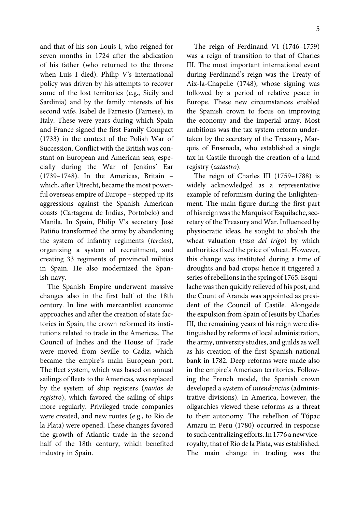and that of his son Louis I, who reigned for seven months in 1724 after the abdication of his father (who returned to the throne when Luis I died). Philip V's international policy was driven by his attempts to recover some of the lost territories (e.g., Sicily and Sardinia) and by the family interests of his second wife, Isabel de Farnesio (Farnese), in Italy. These were years during which Spain and France signed the first Family Compact (1733) in the context of the Polish War of Succession. Conflict with the British was constant on European and American seas, especially during the War of Jenkins' Ear (1739–1748). In the Americas, Britain – which, after Utrecht, became the most powerful overseas empire of Europe – stepped up its aggressions against the Spanish American coasts (Cartagena de Indias, Portobelo) and Manila. In Spain, Philip V's secretary José Patiño transformed the army by abandoning the system of infantry regiments (tercios), organizing a system of recruitment, and creating 33 regiments of provincial militias in Spain. He also modernized the Spanish navy.

The Spanish Empire underwent massive changes also in the first half of the 18th century. In line with mercantilist economic approaches and after the creation of state factories in Spain, the crown reformed its institutions related to trade in the Americas. The Council of Indies and the House of Trade were moved from Seville to Cadiz, which became the empire's main European port. The fleet system, which was based on annual sailings of fleets to the Americas, was replaced by the system of ship registers (navíos de registro), which favored the sailing of ships more regularly. Privileged trade companies were created, and new routes (e.g., to Río de la Plata) were opened. These changes favored the growth of Atlantic trade in the second half of the 18th century, which benefited industry in Spain.

The reign of Ferdinand VI (1746–1759) was a reign of transition to that of Charles III. The most important international event during Ferdinand's reign was the Treaty of Aix-la-Chapelle (1748), whose signing was followed by a period of relative peace in Europe. These new circumstances enabled the Spanish crown to focus on improving the economy and the imperial army. Most ambitious was the tax system reform undertaken by the secretary of the Treasury, Marquis of Ensenada, who established a single tax in Castile through the creation of a land registry (catastro).

The reign of Charles III (1759–1788) is widely acknowledged as a representative example of reformism during the Enlightenment. The main figure during the first part of his reign was theMarquis of Esquilache, secretary of the Treasury and War. Influenced by physiocratic ideas, he sought to abolish the wheat valuation (tasa del trigo) by which authorities fixed the price of wheat. However, this change was instituted during a time of droughts and bad crops; hence it triggered a series of rebellions in the spring of 1765. Esquilache was then quickly relieved of his post, and the Count of Aranda was appointed as president of the Council of Castile. Alongside the expulsion from Spain of Jesuits by Charles III, the remaining years of his reign were distinguished by reforms of local administration, the army, university studies, and guilds as well as his creation of the first Spanish national bank in 1782. Deep reforms were made also in the empire's American territories. Following the French model, the Spanish crown developed a system of intendencias (administrative divisions). In America, however, the oligarchies viewed these reforms as a threat to their autonomy. The rebellion of Túpac Amaru in Peru (1780) occurred in response to such centralizing efforts. In 1776 a new viceroyalty, that of Río de la Plata, was established. The main change in trading was the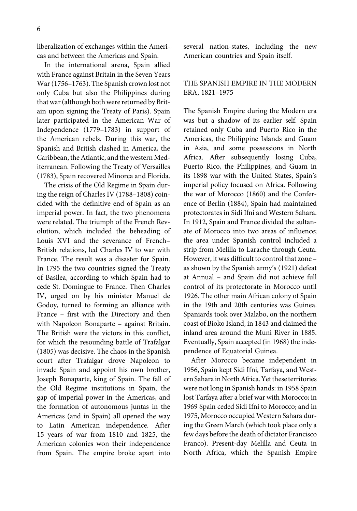liberalization of exchanges within the Americas and between the Americas and Spain.

In the international arena, Spain allied with France against Britain in the Seven Years War (1756–1763). The Spanish crown lost not only Cuba but also the Philippines during that war (although both were returned by Britain upon signing the Treaty of Paris). Spain later participated in the American War of Independence (1779–1783) in support of the American rebels. During this war, the Spanish and British clashed in America, the Caribbean, the Atlantic, and the western Mediterranean. Following the Treaty of Versailles (1783), Spain recovered Minorca and Florida.

The crisis of the Old Regime in Spain during the reign of Charles IV (1788–1808) coincided with the definitive end of Spain as an imperial power. In fact, the two phenomena were related. The triumph of the French Revolution, which included the beheading of Louis XVI and the severance of French– British relations, led Charles IV to war with France. The result was a disaster for Spain. In 1795 the two countries signed the Treaty of Basilea, according to which Spain had to cede St. Domingue to France. Then Charles IV, urged on by his minister Manuel de Godoy, turned to forming an alliance with France – first with the Directory and then with Napoleon Bonaparte – against Britain. The British were the victors in this conflict, for which the resounding battle of Trafalgar (1805) was decisive. The chaos in the Spanish court after Trafalgar drove Napoleon to invade Spain and appoint his own brother, Joseph Bonaparte, king of Spain. The fall of the Old Regime institutions in Spain, the gap of imperial power in the Americas, and the formation of autonomous juntas in the Americas (and in Spain) all opened the way to Latin American independence. After 15 years of war from 1810 and 1825, the American colonies won their independence from Spain. The empire broke apart into

several nation-states, including the new American countries and Spain itself.

## THE SPANISH EMPIRE IN THE MODERN ERA, 1821–1975

The Spanish Empire during the Modern era was but a shadow of its earlier self. Spain retained only Cuba and Puerto Rico in the Americas, the Philippine Islands and Guam in Asia, and some possessions in North Africa. After subsequently losing Cuba, Puerto Rico, the Philippines, and Guam in its 1898 war with the United States, Spain's imperial policy focused on Africa. Following the war of Morocco (1860) and the Conference of Berlin (1884), Spain had maintained protectorates in Sidi Ifni and Western Sahara. In 1912, Spain and France divided the sultanate of Morocco into two areas of influence; the area under Spanish control included a strip from Melilla to Larache through Ceuta. However, it was difficult to control that zone – as shown by the Spanish army's (1921) defeat at Annual – and Spain did not achieve full control of its protectorate in Morocco until 1926. The other main African colony of Spain in the 19th and 20th centuries was Guinea. Spaniards took over Malabo, on the northern coast of Bioko Island, in 1843 and claimed the inland area around the Muni River in 1885. Eventually, Spain accepted (in 1968) the independence of Equatorial Guinea.

After Morocco became independent in 1956, Spain kept Sidi Ifni, Tarfaya, and Western Saharain NorthAfrica.Yet these territories were not long in Spanish hands: in 1958 Spain lost Tarfaya after a brief war with Morocco; in 1969 Spain ceded Sidi Ifni to Morocco; and in 1975, Morocco occupied Western Sahara during the Green March (which took place only a few days before the death of dictator Francisco Franco). Present-day Melilla and Ceuta in North Africa, which the Spanish Empire